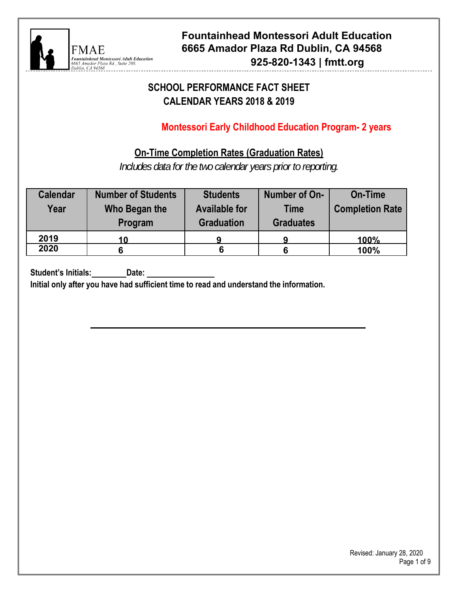

## **SCHOOL PERFORMANCE FACT SHEET CALENDAR YEARS 2019 & 2020**

## **Montessori Early Childhood Education Program- 2 years**

## **On-Time Completion Rates (Graduation Rates)**

*Includes data for the two calendar years prior to reporting.* 

| <b>Calendar</b><br>Year | <b>Number of Students</b><br>Who Began the<br>Program | <b>Students</b><br><b>Available for</b><br><b>Graduation</b> | Number of On-<br><b>Time</b><br><b>Graduates</b> | <b>On-Time</b><br><b>Completion Rate</b> |
|-------------------------|-------------------------------------------------------|--------------------------------------------------------------|--------------------------------------------------|------------------------------------------|
| 2019                    | 10                                                    |                                                              |                                                  | 100%                                     |
| 2020                    | 6                                                     |                                                              |                                                  | 100%                                     |

**Student's Initials: Date:** 

**Initial only after you have had sufficient time to read and understand the information.**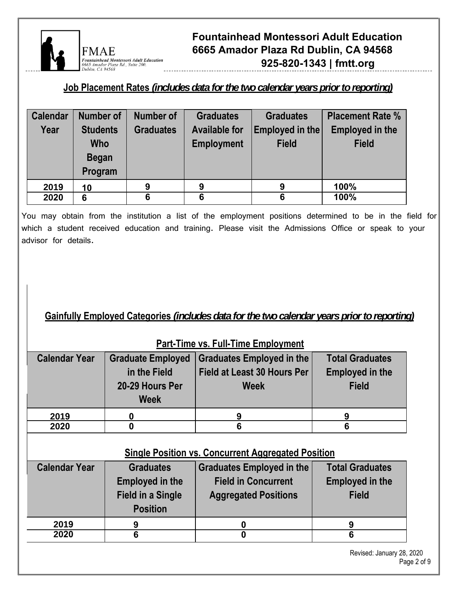

### **Job Placement Rates** *(includes data for the two calendar years prior to reporting)*

| <b>Calendar</b> | <b>Number of</b> | Number of        | <b>Graduates</b>     | <b>Graduates</b> | <b>Placement Rate %</b> |
|-----------------|------------------|------------------|----------------------|------------------|-------------------------|
| Year            | <b>Students</b>  | <b>Graduates</b> | <b>Available for</b> | Employed in the  | <b>Employed in the</b>  |
|                 | <b>Who</b>       |                  | <b>Employment</b>    | <b>Field</b>     | <b>Field</b>            |
|                 | <b>Began</b>     |                  |                      |                  |                         |
|                 | Program          |                  |                      |                  |                         |
| 2019            | 10               | 9                | 9                    | 9                | 100%                    |
| 2020            | 6                | 6                | 6                    | 6                | 100%                    |

You may obtain from the institution a list of the employment positions determined to be in the field for which a student received education and training. Please visit the Admissions Office or speak to your advisor for details.

### **Gainfully Employed Categories** *(includes data for the two calendar years prior to reporting)*

| <b>Calendar Year</b> | <b>Graduate Employed</b> | <b>Graduates Employed in the</b>                          | <b>Total Graduates</b>                           |
|----------------------|--------------------------|-----------------------------------------------------------|--------------------------------------------------|
|                      | in the Field             | Field at Least 30 Hours Per                               | <b>Employed in the</b>                           |
|                      | 20-29 Hours Per          | <b>Week</b>                                               | <b>Field</b>                                     |
|                      | <b>Week</b>              |                                                           |                                                  |
| 2019                 |                          | 9                                                         | 9                                                |
| 2020                 | 0                        | 6                                                         | 6                                                |
|                      |                          | <b>Single Position vs. Concurrent Aggregated Position</b> |                                                  |
| <b>Calendar Year</b> | <b>Graduates</b>         |                                                           |                                                  |
|                      | <b>Employed in the</b>   | Graduates Employed in the<br><b>Field in Concurrent</b>   | <b>Total Graduates</b><br><b>Employed in the</b> |
|                      | <b>Field in a Single</b> | <b>Aggregated Positions</b>                               | <b>Field</b>                                     |
|                      | <b>Position</b>          |                                                           |                                                  |
| 2019                 | 9                        | 0                                                         | 9                                                |

### **Part-Time vs. Full-Time Employment**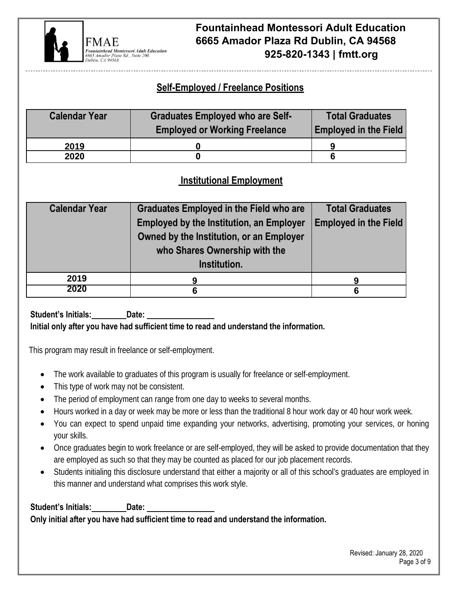

## **Self-Employed / Freelance Positions**

| <b>Calendar Year</b> | <b>Graduates Employed who are Self-</b> | <b>Total Graduates</b>       |  |
|----------------------|-----------------------------------------|------------------------------|--|
|                      | <b>Employed or Working Freelance</b>    | <b>Employed in the Field</b> |  |
| 2019                 |                                         |                              |  |
| 2020                 |                                         |                              |  |

### **Institutional Employment**

| <b>Calendar Year</b> | <b>Graduates Employed in the Field who are</b><br><b>Employed by the Institution, an Employer</b><br>Owned by the Institution, or an Employer<br>who Shares Ownership with the<br>Institution. | <b>Total Graduates</b><br><b>Employed in the Field</b> |
|----------------------|------------------------------------------------------------------------------------------------------------------------------------------------------------------------------------------------|--------------------------------------------------------|
| 2019                 | 9                                                                                                                                                                                              |                                                        |
| 2020                 | 6                                                                                                                                                                                              | 6                                                      |

Student's Initials:\_\_\_\_\_\_\_\_\_Date: \_ **Initial only after you have had sufficient time to read and understand the information.** 

This program may result in freelance or self-employment.

- The work available to graduates of this program is usually for freelance or self-employment.
- This type of work may not be consistent.
- The period of employment can range from one day to weeks to several months.
- Hours worked in a day or week may be more or less than the traditional 8 hour work day or 40 hour work week.
- You can expect to spend unpaid time expanding your networks, advertising, promoting your services, or honing your skills.
- Once graduates begin to work freelance or are self-employed, they will be asked to provide documentation that they are employed as such so that they may be counted as placed for our job placement records.
- Students initialing this disclosure understand that either a majority or all of this school's graduates are employed in this manner and understand what comprises this work style.

Student's Initials:\_\_\_\_\_\_\_\_\_Date: \_ **Only initial after you have had sufficient time to read and understand the information.**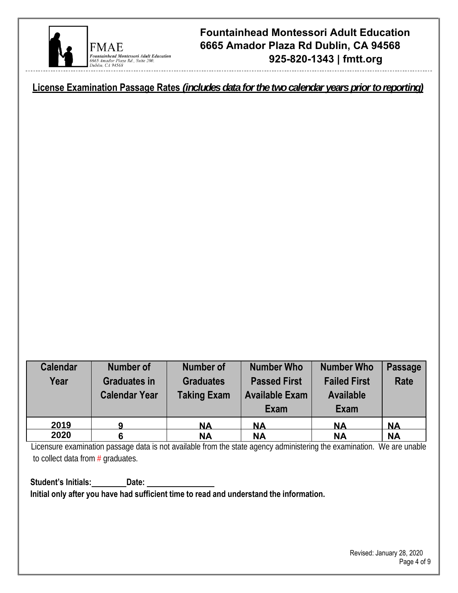

**License Examination Passage Rates** *(includes data for the two calendar years prior to reporting)* 

| <b>Calendar</b><br>Year | <b>Number of</b><br><b>Graduates in</b><br><b>Calendar Year</b> | <b>Number of</b><br><b>Graduates</b><br><b>Taking Exam</b> | <b>Number Who</b><br><b>Passed First</b><br><b>Available Exam</b><br>Exam | <b>Number Who</b><br><b>Failed First</b><br><b>Available</b><br>Exam | <b>Passage</b><br>Rate |
|-------------------------|-----------------------------------------------------------------|------------------------------------------------------------|---------------------------------------------------------------------------|----------------------------------------------------------------------|------------------------|
| 2019                    |                                                                 | <b>NA</b>                                                  | <b>NA</b>                                                                 | <b>NA</b>                                                            | <b>NA</b>              |
| 2020                    |                                                                 | <b>NA</b>                                                  | <b>NA</b>                                                                 | <b>NA</b>                                                            | <b>NA</b>              |

Licensure examination passage data is not available from the state agency administering the examination. We are unable to collect data from  $#$  graduates.

Student's Initials:\_\_\_\_\_\_\_\_\_Date: \_ **Initial only after you have had sufficient time to read and understand the information.**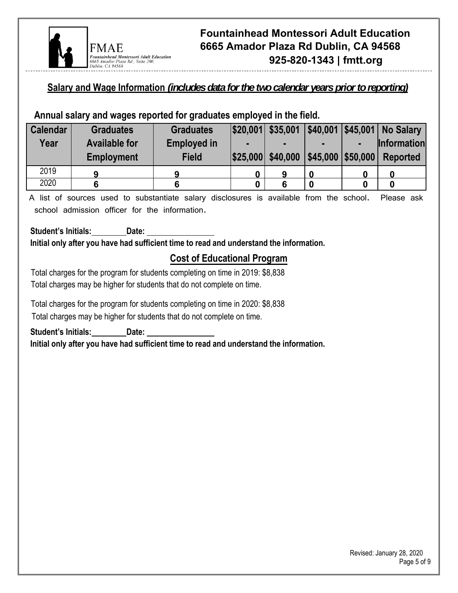

### **Salary and Wage Information** *(includes data for the two calendar years prior to reporting)*

### **Annual salary and wages reported for graduates employed in the field.**

| <b>Calendar</b> | <b>Graduates</b>     | <b>Graduates</b>   |   |  | \$20,001 \$35,001 \$40,001 \$45,001 No Salary |
|-----------------|----------------------|--------------------|---|--|-----------------------------------------------|
| Year            | <b>Available for</b> | <b>Employed in</b> |   |  | Information                                   |
|                 | <b>Employment</b>    | <b>Field</b>       |   |  | $ $25,000 $40,000 $45,000 $50,000 $ Reported  |
| 2019            | О                    |                    | 9 |  |                                               |
| 2020            |                      |                    |   |  |                                               |

A list of sources used to substantiate salary disclosures is available from the school. Please ask school admission officer for the information.

Student's Initials:\_\_\_\_\_\_\_\_\_Date: \_ **Initial only after you have had sufficient time to read and understand the information.** 

### **Cost of Educational Program**

Total charges for the program for students completing on time in 2019: \$8,838 Total charges may be higher for students that do not complete on time.

Total charges for the program for students completing on time in 2020: \$8,838 Total charges may be higher for students that do not complete on time.

**Student's Initials: Date:** 

**Initial only after you have had sufficient time to read and understand the information.**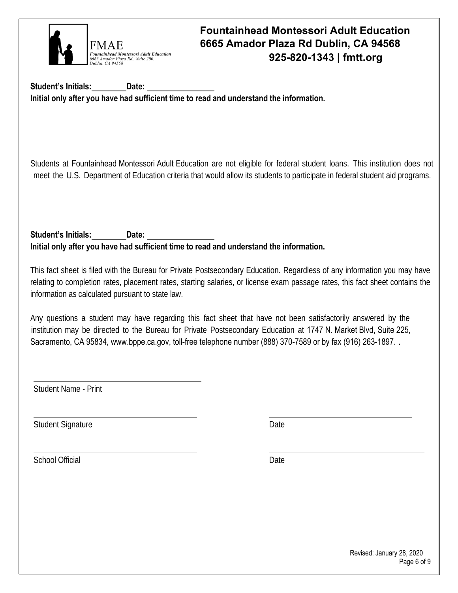

Student's Initials:\_\_\_\_\_\_\_\_\_Date: \_ **Initial only after you have had sufficient time to read and understand the information.** 

Students at Fountainhead Montessori Adult Education are not eligible for federal student loans. This institution does not meet the U.S. Department of Education criteria that would allow its students to participate in federal student aid programs.

Student's Initials:\_\_\_\_\_\_\_\_\_Date: \_ **Initial only after you have had sufficient time to read and understand the information.** 

This fact sheet is filed with the Bureau for Private Postsecondary Education. Regardless of any information you may have relating to completion rates, placement rates, starting salaries, or license exam passage rates, this fact sheet contains the information as calculated pursuant to state law.

Any questions a student may have regarding this fact sheet that have not been satisfactorily answered by the institution may be directed to the Bureau for Private Postsecondary Education at 1747 N. Market Blvd, Suite 225, Sacramento, CA 95834, www.bppe.ca.gov, toll-free telephone number (888) 370-7589 or by fax (916) 263-1897.

Student Name - Print

Student Signature Date

School Official Date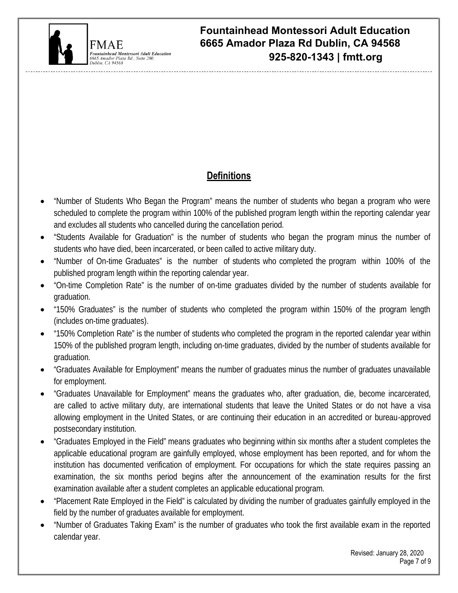

# **Definitions**

- "Number of Students Who Began the Program" means the number of students who began a program who were scheduled to complete the program within 100% of the published program length within the reporting calendar year and excludes all students who cancelled during the cancellation period.
- "Students Available for Graduation" is the number of students who began the program minus the number of students who have died, been incarcerated, or been called to active military duty.
- "Number of On-time Graduates" is the number of students who completed the program within 100% of the published program length within the reporting calendar year.
- "On-time Completion Rate" is the number of on-time graduates divided by the number of students available for graduation.
- "150% Graduates" is the number of students who completed the program within 150% of the program length (includes on-time graduates).
- "150% Completion Rate" is the number of students who completed the program in the reported calendar year within 150% of the published program length, including on-time graduates, divided by the number of students available for graduation.
- "Graduates Available for Employment" means the number of graduates minus the number of graduates unavailable for employment.
- "Graduates Unavailable for Employment" means the graduates who, after graduation, die, become incarcerated, are called to active military duty, are international students that leave the United States or do not have a visa allowing employment in the United States, or are continuing their education in an accredited or bureau-approved postsecondary institution.
- "Graduates Employed in the Field" means graduates who beginning within six months after a student completes the applicable educational program are gainfully employed, whose employment has been reported, and for whom the institution has documented verification of employment. For occupations for which the state requires passing an examination, the six months period begins after the announcement of the examination results for the first examination available after a student completes an applicable educational program.
- "Placement Rate Employed in the Field" is calculated by dividing the number of graduates gainfully employed in the field by the number of graduates available for employment.
- "Number of Graduates Taking Exam" is the number of graduates who took the first available exam in the reported calendar year.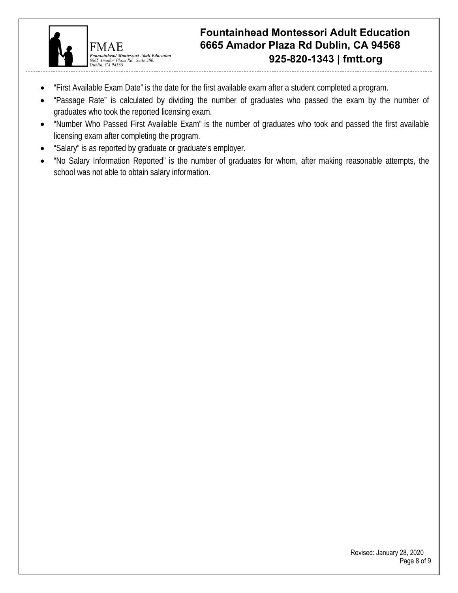

**FMAE** 

Dublin  $C494568$ 

.<br>Fountainhead Montessori Adult Education 6665 Amador Plaza Rd., Suite 200.

**925-820-1343 | fmtt.org Fountainhead Montessori Adult Education 6665 Amador Plaza Rd Dublin, CA 94568**

- "First Available Exam Date" is the date for the first available exam after a student completed a program.
- "Passage Rate" is calculated by dividing the number of graduates who passed the exam by the number of graduates who took the reported licensing exam.
- "Number Who Passed First Available Exam" is the number of graduates who took and passed the first available licensing exam after completing the program.
- "Salary" is as reported by graduate or graduate's employer.
- "No Salary Information Reported" is the number of graduates for whom, after making reasonable attempts, the school was not able to obtain salary information.